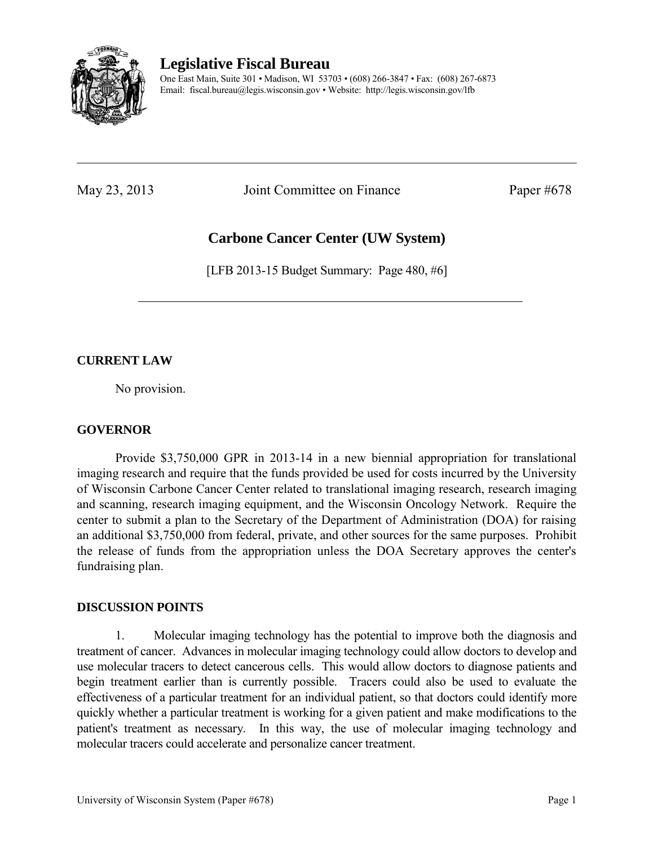

**Legislative Fiscal Bureau** 

One East Main, Suite 301 • Madison, WI 53703 • (608) 266-3847 • Fax: (608) 267-6873 Email: fiscal.bureau@legis.wisconsin.gov • Website:<http://legis.wisconsin.gov/lfb>

May 23, 2013 Joint Committee on Finance Paper #678

# **Carbone Cancer Center (UW System)**

[LFB 2013-15 Budget Summary: Page 480, #6]

## **CURRENT LAW**

No provision.

### **GOVERNOR**

 Provide \$3,750,000 GPR in 2013-14 in a new biennial appropriation for translational imaging research and require that the funds provided be used for costs incurred by the University of Wisconsin Carbone Cancer Center related to translational imaging research, research imaging and scanning, research imaging equipment, and the Wisconsin Oncology Network. Require the center to submit a plan to the Secretary of the Department of Administration (DOA) for raising an additional \$3,750,000 from federal, private, and other sources for the same purposes. Prohibit the release of funds from the appropriation unless the DOA Secretary approves the center's fundraising plan.

#### **DISCUSSION POINTS**

1. Molecular imaging technology has the potential to improve both the diagnosis and treatment of cancer. Advances in molecular imaging technology could allow doctors to develop and use molecular tracers to detect cancerous cells. This would allow doctors to diagnose patients and begin treatment earlier than is currently possible. Tracers could also be used to evaluate the effectiveness of a particular treatment for an individual patient, so that doctors could identify more quickly whether a particular treatment is working for a given patient and make modifications to the patient's treatment as necessary. In this way, the use of molecular imaging technology and molecular tracers could accelerate and personalize cancer treatment.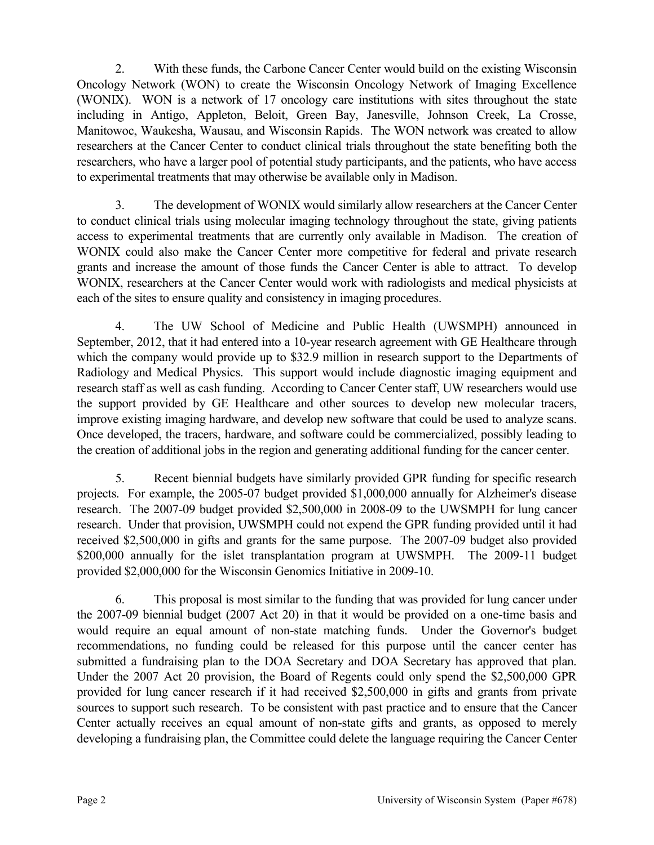2. With these funds, the Carbone Cancer Center would build on the existing Wisconsin Oncology Network (WON) to create the Wisconsin Oncology Network of Imaging Excellence (WONIX). WON is a network of 17 oncology care institutions with sites throughout the state including in Antigo, Appleton, Beloit, Green Bay, Janesville, Johnson Creek, La Crosse, Manitowoc, Waukesha, Wausau, and Wisconsin Rapids. The WON network was created to allow researchers at the Cancer Center to conduct clinical trials throughout the state benefiting both the researchers, who have a larger pool of potential study participants, and the patients, who have access to experimental treatments that may otherwise be available only in Madison.

3. The development of WONIX would similarly allow researchers at the Cancer Center to conduct clinical trials using molecular imaging technology throughout the state, giving patients access to experimental treatments that are currently only available in Madison. The creation of WONIX could also make the Cancer Center more competitive for federal and private research grants and increase the amount of those funds the Cancer Center is able to attract. To develop WONIX, researchers at the Cancer Center would work with radiologists and medical physicists at each of the sites to ensure quality and consistency in imaging procedures.

4. The UW School of Medicine and Public Health (UWSMPH) announced in September, 2012, that it had entered into a 10-year research agreement with GE Healthcare through which the company would provide up to \$32.9 million in research support to the Departments of Radiology and Medical Physics. This support would include diagnostic imaging equipment and research staff as well as cash funding. According to Cancer Center staff, UW researchers would use the support provided by GE Healthcare and other sources to develop new molecular tracers, improve existing imaging hardware, and develop new software that could be used to analyze scans. Once developed, the tracers, hardware, and software could be commercialized, possibly leading to the creation of additional jobs in the region and generating additional funding for the cancer center.

5. Recent biennial budgets have similarly provided GPR funding for specific research projects. For example, the 2005-07 budget provided \$1,000,000 annually for Alzheimer's disease research. The 2007-09 budget provided \$2,500,000 in 2008-09 to the UWSMPH for lung cancer research. Under that provision, UWSMPH could not expend the GPR funding provided until it had received \$2,500,000 in gifts and grants for the same purpose. The 2007-09 budget also provided \$200,000 annually for the islet transplantation program at UWSMPH. The 2009-11 budget provided \$2,000,000 for the Wisconsin Genomics Initiative in 2009-10.

6. This proposal is most similar to the funding that was provided for lung cancer under the 2007-09 biennial budget (2007 Act 20) in that it would be provided on a one-time basis and would require an equal amount of non-state matching funds. Under the Governor's budget recommendations, no funding could be released for this purpose until the cancer center has submitted a fundraising plan to the DOA Secretary and DOA Secretary has approved that plan. Under the 2007 Act 20 provision, the Board of Regents could only spend the \$2,500,000 GPR provided for lung cancer research if it had received \$2,500,000 in gifts and grants from private sources to support such research. To be consistent with past practice and to ensure that the Cancer Center actually receives an equal amount of non-state gifts and grants, as opposed to merely developing a fundraising plan, the Committee could delete the language requiring the Cancer Center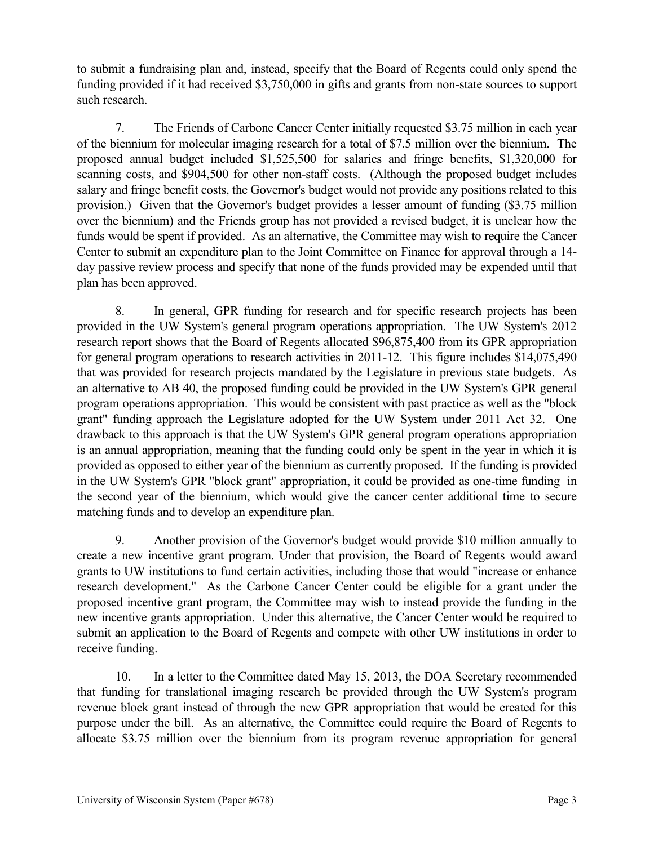to submit a fundraising plan and, instead, specify that the Board of Regents could only spend the funding provided if it had received \$3,750,000 in gifts and grants from non-state sources to support such research.

7. The Friends of Carbone Cancer Center initially requested \$3.75 million in each year of the biennium for molecular imaging research for a total of \$7.5 million over the biennium. The proposed annual budget included \$1,525,500 for salaries and fringe benefits, \$1,320,000 for scanning costs, and \$904,500 for other non-staff costs. (Although the proposed budget includes salary and fringe benefit costs, the Governor's budget would not provide any positions related to this provision.) Given that the Governor's budget provides a lesser amount of funding (\$3.75 million over the biennium) and the Friends group has not provided a revised budget, it is unclear how the funds would be spent if provided. As an alternative, the Committee may wish to require the Cancer Center to submit an expenditure plan to the Joint Committee on Finance for approval through a 14 day passive review process and specify that none of the funds provided may be expended until that plan has been approved.

8. In general, GPR funding for research and for specific research projects has been provided in the UW System's general program operations appropriation. The UW System's 2012 research report shows that the Board of Regents allocated \$96,875,400 from its GPR appropriation for general program operations to research activities in 2011-12. This figure includes \$14,075,490 that was provided for research projects mandated by the Legislature in previous state budgets. As an alternative to AB 40, the proposed funding could be provided in the UW System's GPR general program operations appropriation. This would be consistent with past practice as well as the "block grant" funding approach the Legislature adopted for the UW System under 2011 Act 32. One drawback to this approach is that the UW System's GPR general program operations appropriation is an annual appropriation, meaning that the funding could only be spent in the year in which it is provided as opposed to either year of the biennium as currently proposed. If the funding is provided in the UW System's GPR "block grant" appropriation, it could be provided as one-time funding in the second year of the biennium, which would give the cancer center additional time to secure matching funds and to develop an expenditure plan.

9. Another provision of the Governor's budget would provide \$10 million annually to create a new incentive grant program. Under that provision, the Board of Regents would award grants to UW institutions to fund certain activities, including those that would "increase or enhance research development." As the Carbone Cancer Center could be eligible for a grant under the proposed incentive grant program, the Committee may wish to instead provide the funding in the new incentive grants appropriation. Under this alternative, the Cancer Center would be required to submit an application to the Board of Regents and compete with other UW institutions in order to receive funding.

10. In a letter to the Committee dated May 15, 2013, the DOA Secretary recommended that funding for translational imaging research be provided through the UW System's program revenue block grant instead of through the new GPR appropriation that would be created for this purpose under the bill. As an alternative, the Committee could require the Board of Regents to allocate \$3.75 million over the biennium from its program revenue appropriation for general